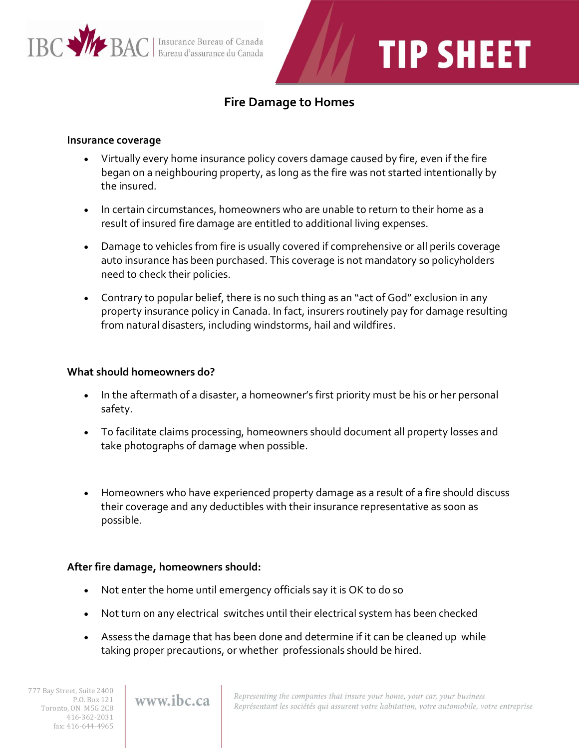

# **TIP SHEET**

### **Fire Damage to Homes**

#### **Insurance coverage**

- Virtually every home insurance policy covers damage caused by fire, even if the fire began on a neighbouring property, as long as the fire was not started intentionally by the insured.
- In certain circumstances, homeowners who are unable to return to their home as a result of insured fire damage are entitled to additional living expenses.
- Damage to vehicles from fire is usually covered if comprehensive or all perils coverage auto insurance has been purchased. This coverage is not mandatory so policyholders need to check their policies.
- Contrary to popular belief, there is no such thing as an "act of God" exclusion in any property insurance policy in Canada. In fact, insurers routinely pay for damage resulting from natural disasters, including windstorms, hail and wildfires.

#### **What should homeowners do?**

- In the aftermath of a disaster, a homeowner's first priority must be his or her personal safety.
- To facilitate claims processing, homeowners should document all property losses and take photographs of damage when possible.
- Homeowners who have experienced property damage as a result of a fire should discuss their coverage and any deductibles with their insurance representative as soon as possible.

#### **After fire damage, homeowners should:**

- Not enter the home until emergency officials say it is OK to do so
- Not turn on any electrical switches until their electrical system has been checked
- Assess the damage that has been done and determine if it can be cleaned up while taking proper precautions, or whether professionals should be hired.

777 Bay Street, Suite 2400 P.O. Box 121 Toronto, ON M5G 2C8 416-362-2031 fax: 416-644-4965

## www.ibc.ca

Representing the companies that insure your home, your car, your business Représentant les sociétés qui assurent votre habitation, votre automobile, votre entreprise